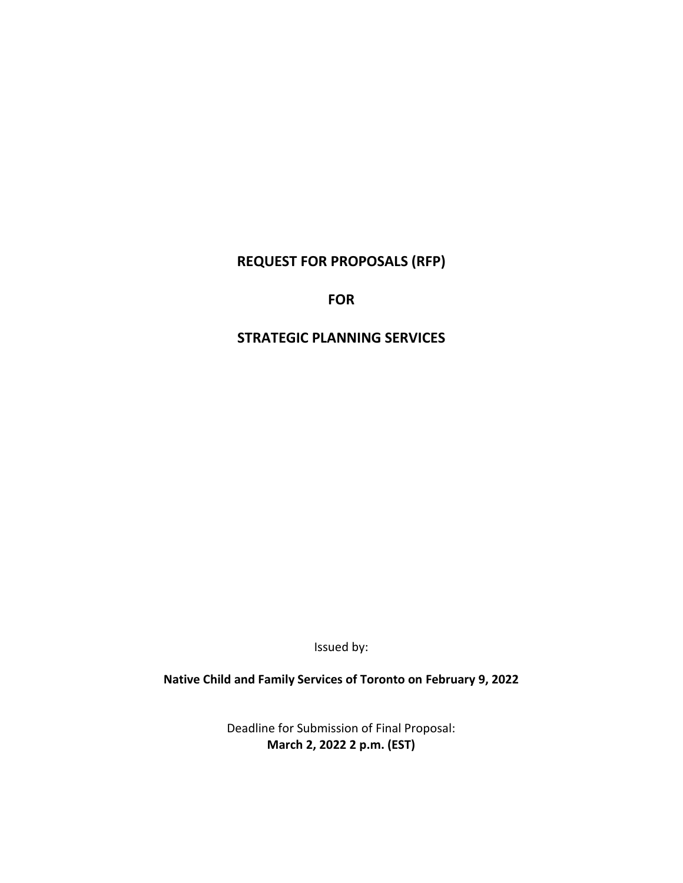# **REQUEST FOR PROPOSALS (RFP)**

# **FOR**

# **STRATEGIC PLANNING SERVICES**

Issued by:

**Native Child and Family Services of Toronto on February 9, 2022**

Deadline for Submission of Final Proposal: **March 2, 2022 2 p.m. (EST)**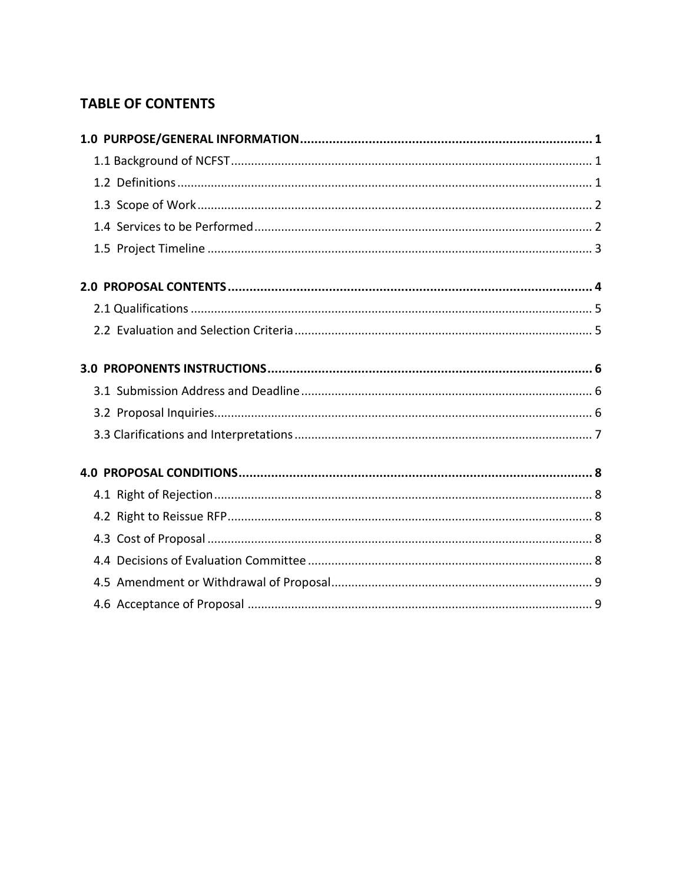# **TABLE OF CONTENTS**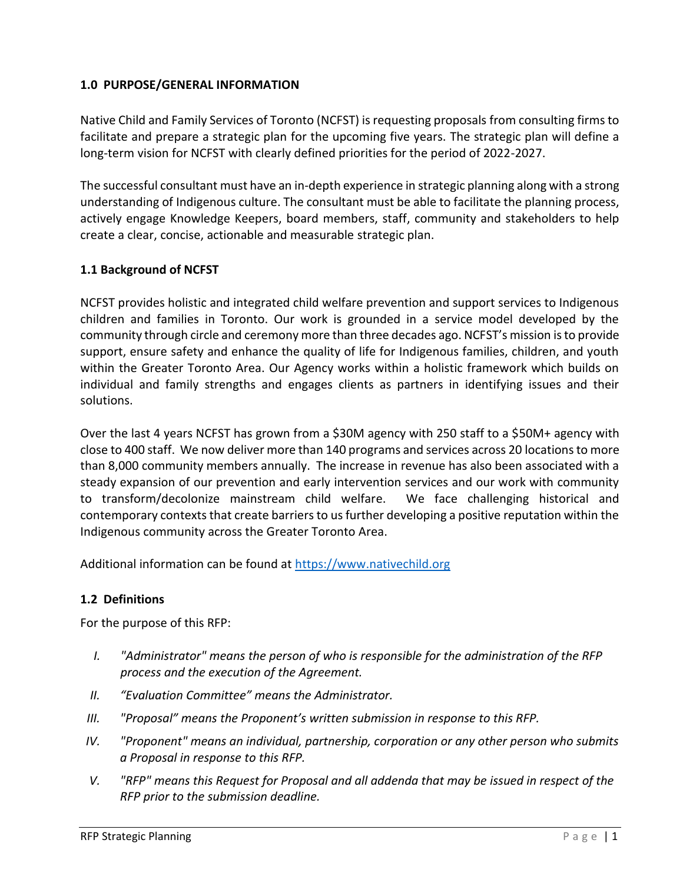## <span id="page-2-0"></span>**1.0 PURPOSE/GENERAL INFORMATION**

Native Child and Family Services of Toronto (NCFST) is requesting proposals from consulting firms to facilitate and prepare a strategic plan for the upcoming five years. The strategic plan will define a long-term vision for NCFST with clearly defined priorities for the period of 2022-2027.

The successful consultant must have an in-depth experience in strategic planning along with a strong understanding of Indigenous culture. The consultant must be able to facilitate the planning process, actively engage Knowledge Keepers, board members, staff, community and stakeholders to help create a clear, concise, actionable and measurable strategic plan.

## <span id="page-2-1"></span>**1.1 Background of NCFST**

NCFST provides holistic and integrated child welfare prevention and support services to Indigenous children and families in Toronto. Our work is grounded in a service model developed by the community through circle and ceremony more than three decades ago. NCFST's mission is to provide support, ensure safety and enhance the quality of life for Indigenous families, children, and youth within the Greater Toronto Area. Our Agency works within a holistic framework which builds on individual and family strengths and engages clients as partners in identifying issues and their solutions.

Over the last 4 years NCFST has grown from a \$30M agency with 250 staff to a \$50M+ agency with close to 400 staff. We now deliver more than 140 programs and services across 20 locations to more than 8,000 community members annually. The increase in revenue has also been associated with a steady expansion of our prevention and early intervention services and our work with community to transform/decolonize mainstream child welfare. We face challenging historical and contemporary contexts that create barriers to us further developing a positive reputation within the Indigenous community across the Greater Toronto Area.

Additional information can be found at [https://www.nativechild.org](https://www.nativechild.org/)

## <span id="page-2-2"></span>**1.2 Definitions**

For the purpose of this RFP:

- *I. "Administrator" means the person of who is responsible for the administration of the RFP process and the execution of the Agreement.*
- *II. "Evaluation Committee" means the Administrator.*
- *III. "Proposal" means the Proponent's written submission in response to this RFP.*
- *IV. "Proponent" means an individual, partnership, corporation or any other person who submits a Proposal in response to this RFP.*
- *V. "RFP" means this Request for Proposal and all addenda that may be issued in respect of the RFP prior to the submission deadline.*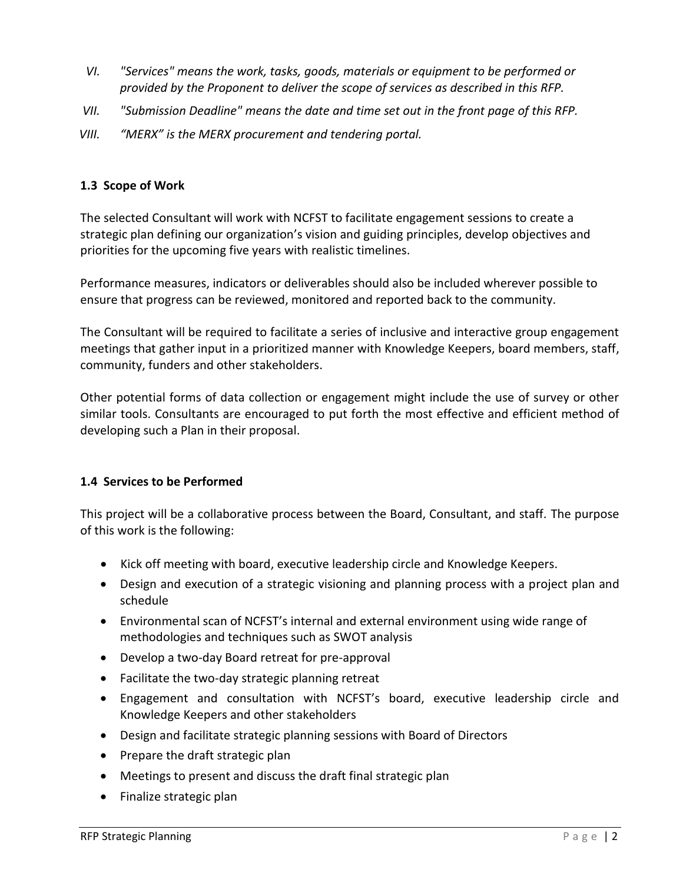- *VI. "Services" means the work, tasks, goods, materials or equipment to be performed or provided by the Proponent to deliver the scope of services as described in this RFP.*
- *VII. "Submission Deadline" means the date and time set out in the front page of this RFP.*
- *VIII. "MERX" is the MERX procurement and tendering portal.*

## <span id="page-3-0"></span>**1.3 Scope of Work**

The selected Consultant will work with NCFST to facilitate engagement sessions to create a strategic plan defining our organization's vision and guiding principles, develop objectives and priorities for the upcoming five years with realistic timelines.

Performance measures, indicators or deliverables should also be included wherever possible to ensure that progress can be reviewed, monitored and reported back to the community.

The Consultant will be required to facilitate a series of inclusive and interactive group engagement meetings that gather input in a prioritized manner with Knowledge Keepers, board members, staff, community, funders and other stakeholders.

Other potential forms of data collection or engagement might include the use of survey or other similar tools. Consultants are encouraged to put forth the most effective and efficient method of developing such a Plan in their proposal.

# <span id="page-3-1"></span>**1.4 Services to be Performed**

This project will be a collaborative process between the Board, Consultant, and staff. The purpose of this work is the following:

- Kick off meeting with board, executive leadership circle and Knowledge Keepers.
- Design and execution of a strategic visioning and planning process with a project plan and schedule
- Environmental scan of NCFST's internal and external environment using wide range of methodologies and techniques such as SWOT analysis
- Develop a two-day Board retreat for pre-approval
- Facilitate the two-day strategic planning retreat
- Engagement and consultation with NCFST's board, executive leadership circle and Knowledge Keepers and other stakeholders
- Design and facilitate strategic planning sessions with Board of Directors
- Prepare the draft strategic plan
- Meetings to present and discuss the draft final strategic plan
- Finalize strategic plan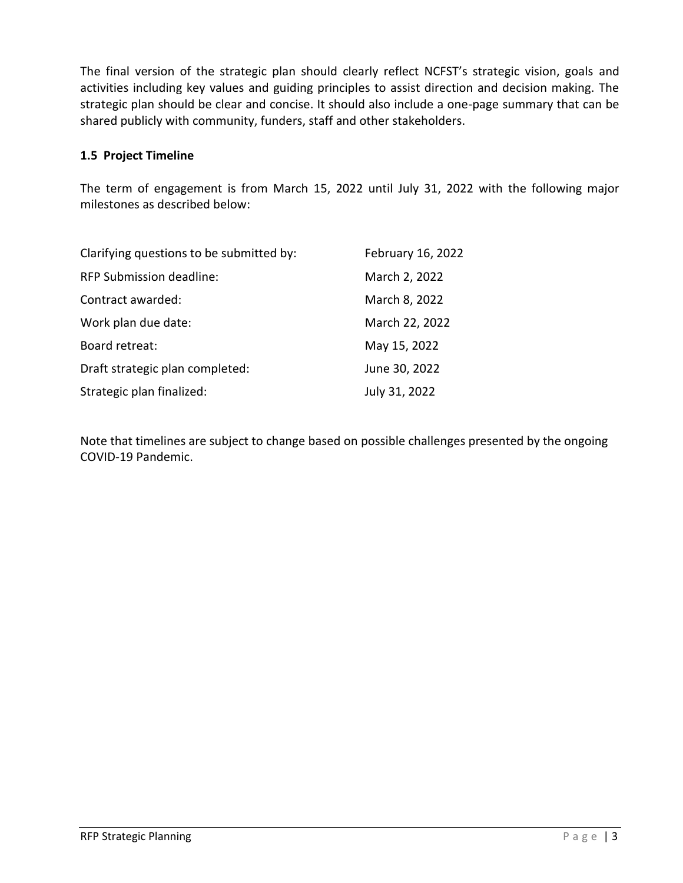The final version of the strategic plan should clearly reflect NCFST's strategic vision, goals and activities including key values and guiding principles to assist direction and decision making. The strategic plan should be clear and concise. It should also include a one-page summary that can be shared publicly with community, funders, staff and other stakeholders.

## <span id="page-4-0"></span>**1.5 Project Timeline**

The term of engagement is from March 15, 2022 until July 31, 2022 with the following major milestones as described below:

| Clarifying questions to be submitted by: | February 16, 2022 |
|------------------------------------------|-------------------|
| <b>RFP Submission deadline:</b>          | March 2, 2022     |
| Contract awarded:                        | March 8, 2022     |
| Work plan due date:                      | March 22, 2022    |
| Board retreat:                           | May 15, 2022      |
| Draft strategic plan completed:          | June 30, 2022     |
| Strategic plan finalized:                | July 31, 2022     |

Note that timelines are subject to change based on possible challenges presented by the ongoing COVID-19 Pandemic.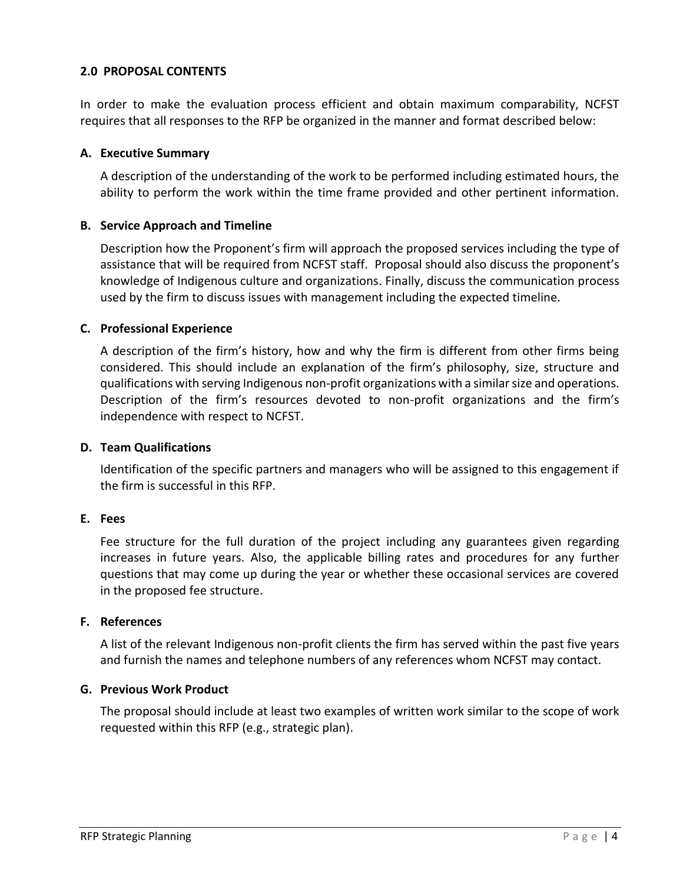#### <span id="page-5-0"></span>**2.0 PROPOSAL CONTENTS**

In order to make the evaluation process efficient and obtain maximum comparability, NCFST requires that all responses to the RFP be organized in the manner and format described below:

#### **A. Executive Summary**

A description of the understanding of the work to be performed including estimated hours, the ability to perform the work within the time frame provided and other pertinent information.

#### **B. Service Approach and Timeline**

Description how the Proponent's firm will approach the proposed services including the type of assistance that will be required from NCFST staff. Proposal should also discuss the proponent's knowledge of Indigenous culture and organizations. Finally, discuss the communication process used by the firm to discuss issues with management including the expected timeline.

#### **C. Professional Experience**

A description of the firm's history, how and why the firm is different from other firms being considered. This should include an explanation of the firm's philosophy, size, structure and qualifications with serving Indigenous non-profit organizations with a similar size and operations. Description of the firm's resources devoted to non-profit organizations and the firm's independence with respect to NCFST.

#### **D. Team Qualifications**

Identification of the specific partners and managers who will be assigned to this engagement if the firm is successful in this RFP.

## **E. Fees**

Fee structure for the full duration of the project including any guarantees given regarding increases in future years. Also, the applicable billing rates and procedures for any further questions that may come up during the year or whether these occasional services are covered in the proposed fee structure.

#### **F. References**

A list of the relevant Indigenous non-profit clients the firm has served within the past five years and furnish the names and telephone numbers of any references whom NCFST may contact.

## **G. Previous Work Product**

The proposal should include at least two examples of written work similar to the scope of work requested within this RFP (e.g., strategic plan).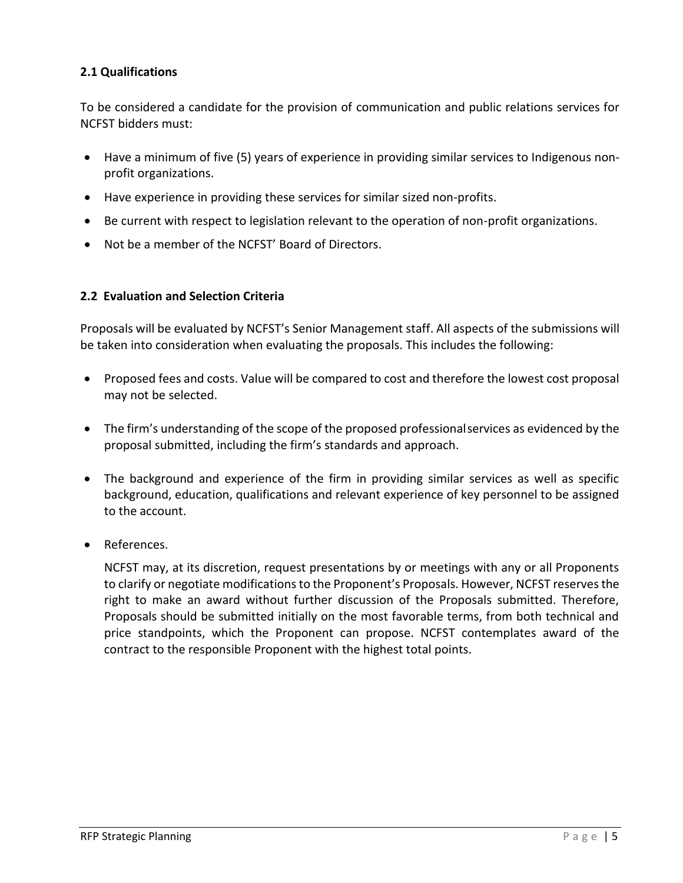# <span id="page-6-0"></span>**2.1 Qualifications**

To be considered a candidate for the provision of communication and public relations services for NCFST bidders must:

- Have a minimum of five (5) years of experience in providing similar services to Indigenous nonprofit organizations.
- Have experience in providing these services for similar sized non-profits.
- Be current with respect to legislation relevant to the operation of non-profit organizations.
- Not be a member of the NCFST' Board of Directors.

## <span id="page-6-1"></span>**2.2 Evaluation and Selection Criteria**

Proposals will be evaluated by NCFST's Senior Management staff. All aspects of the submissions will be taken into consideration when evaluating the proposals. This includes the following:

- Proposed fees and costs. Value will be compared to cost and therefore the lowest cost proposal may not be selected.
- The firm's understanding of the scope of the proposed professionalservices as evidenced by the proposal submitted, including the firm's standards and approach.
- The background and experience of the firm in providing similar services as well as specific background, education, qualifications and relevant experience of key personnel to be assigned to the account.
- References.

NCFST may, at its discretion, request presentations by or meetings with any or all Proponents to clarify or negotiate modifications to the Proponent's Proposals. However, NCFST reserves the right to make an award without further discussion of the Proposals submitted. Therefore, Proposals should be submitted initially on the most favorable terms, from both technical and price standpoints, which the Proponent can propose. NCFST contemplates award of the contract to the responsible Proponent with the highest total points.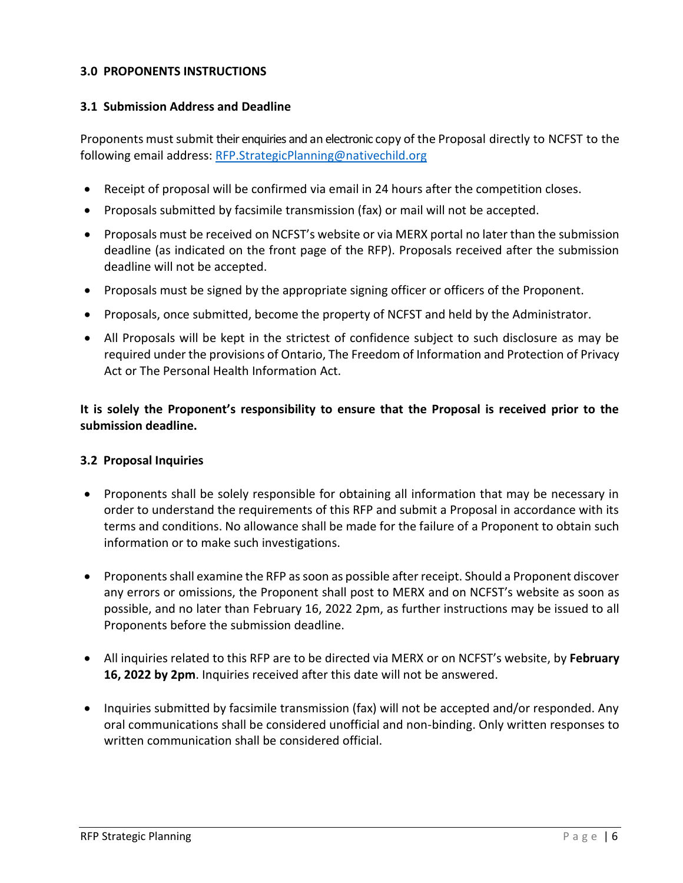#### <span id="page-7-0"></span>**3.0 PROPONENTS INSTRUCTIONS**

## <span id="page-7-1"></span>**3.1 Submission Address and Deadline**

Proponents must submit their enquiries and an electronic copy of the Proposal directly to NCFST to the following email address: [RFP.StrategicPlanning@nativechild.org](mailto:RFP.StrategicPlanning@nativechild.org)

- Receipt of proposal will be confirmed via email in 24 hours after the competition closes.
- Proposals submitted by facsimile transmission (fax) or mail will not be accepted.
- Proposals must be received on NCFST's website or via MERX portal no later than the submission deadline (as indicated on the front page of the RFP). Proposals received after the submission deadline will not be accepted.
- Proposals must be signed by the appropriate signing officer or officers of the Proponent.
- Proposals, once submitted, become the property of NCFST and held by the Administrator.
- All Proposals will be kept in the strictest of confidence subject to such disclosure as may be required under the provisions of Ontario, The Freedom of Information and Protection of Privacy Act or The Personal Health Information Act.

**It is solely the Proponent's responsibility to ensure that the Proposal is received prior to the submission deadline.**

## <span id="page-7-2"></span>**3.2 Proposal Inquiries**

- Proponents shall be solely responsible for obtaining all information that may be necessary in order to understand the requirements of this RFP and submit a Proposal in accordance with its terms and conditions. No allowance shall be made for the failure of a Proponent to obtain such information or to make such investigations.
- Proponents shall examine the RFP as soon as possible after receipt. Should a Proponent discover any errors or omissions, the Proponent shall post to MERX and on NCFST's website as soon as possible, and no later than February 16, 2022 2pm, as further instructions may be issued to all Proponents before the submission deadline.
- All inquiries related to this RFP are to be directed via MERX or on NCFST's website, by **February 16, 2022 by 2pm**. Inquiries received after this date will not be answered.
- Inquiries submitted by facsimile transmission (fax) will not be accepted and/or responded. Any oral communications shall be considered unofficial and non-binding. Only written responses to written communication shall be considered official.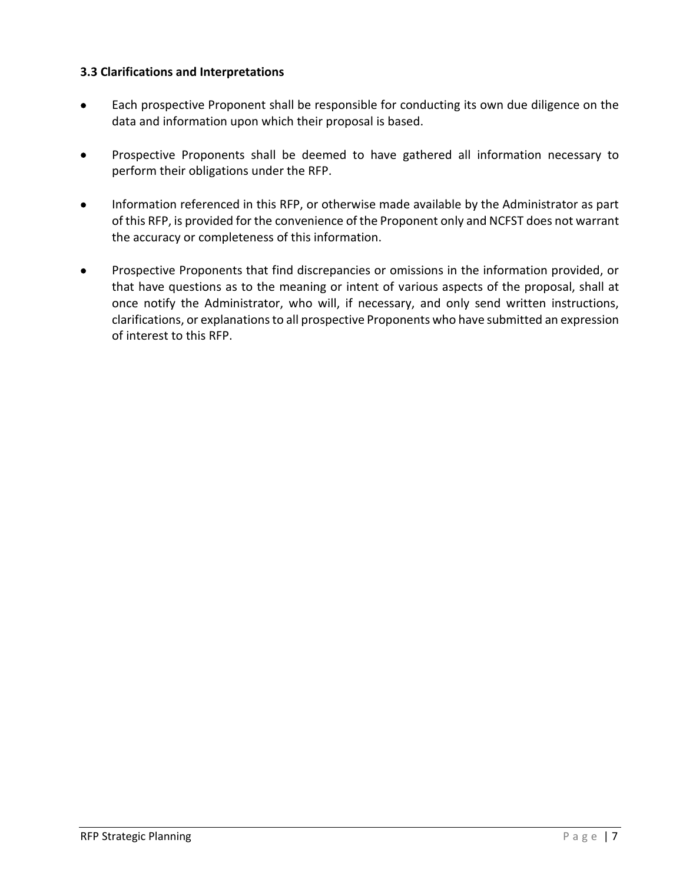## <span id="page-8-0"></span>**3.3 Clarifications and Interpretations**

- Each prospective Proponent shall be responsible for conducting its own due diligence on the data and information upon which their proposal is based.
- Prospective Proponents shall be deemed to have gathered all information necessary to perform their obligations under the RFP.
- Information referenced in this RFP, or otherwise made available by the Administrator as part of this RFP, is provided for the convenience of the Proponent only and NCFST does not warrant the accuracy or completeness of this information.
- Prospective Proponents that find discrepancies or omissions in the information provided, or that have questions as to the meaning or intent of various aspects of the proposal, shall at once notify the Administrator, who will, if necessary, and only send written instructions, clarifications, or explanations to all prospective Proponents who have submitted an expression of interest to this RFP.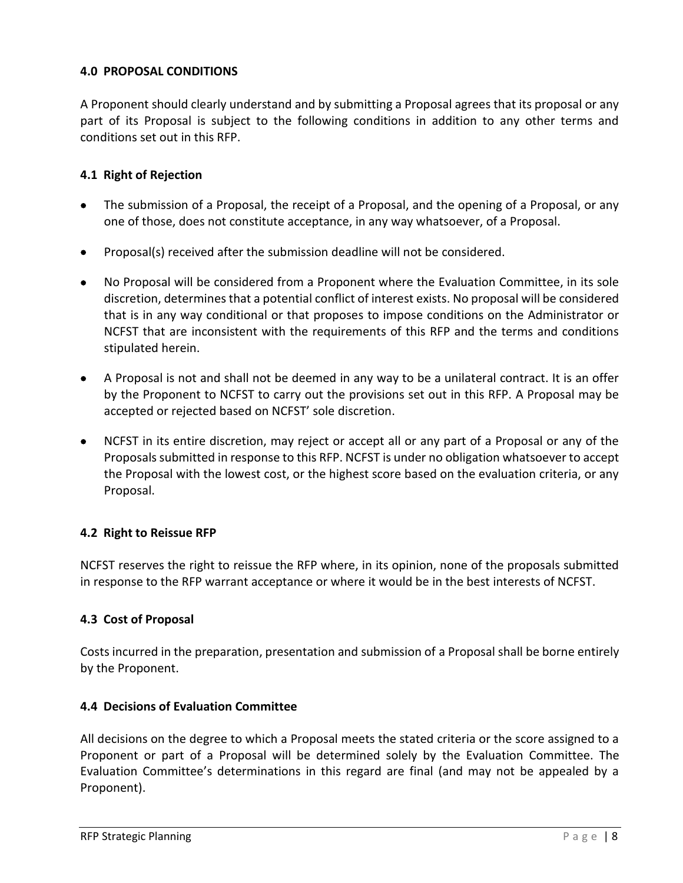## <span id="page-9-0"></span>**4.0 PROPOSAL CONDITIONS**

A Proponent should clearly understand and by submitting a Proposal agrees that its proposal or any part of its Proposal is subject to the following conditions in addition to any other terms and conditions set out in this RFP.

## <span id="page-9-1"></span>**4.1 Right of Rejection**

- The submission of a Proposal, the receipt of a Proposal, and the opening of a Proposal, or any one of those, does not constitute acceptance, in any way whatsoever, of a Proposal.
- Proposal(s) received after the submission deadline will not be considered.
- No Proposal will be considered from a Proponent where the Evaluation Committee, in its sole discretion, determines that a potential conflict of interest exists. No proposal will be considered that is in any way conditional or that proposes to impose conditions on the Administrator or NCFST that are inconsistent with the requirements of this RFP and the terms and conditions stipulated herein.
- A Proposal is not and shall not be deemed in any way to be a unilateral contract. It is an offer by the Proponent to NCFST to carry out the provisions set out in this RFP. A Proposal may be accepted or rejected based on NCFST' sole discretion.
- NCFST in its entire discretion, may reject or accept all or any part of a Proposal or any of the Proposals submitted in response to this RFP. NCFST is under no obligation whatsoever to accept the Proposal with the lowest cost, or the highest score based on the evaluation criteria, or any Proposal.

## <span id="page-9-2"></span>**4.2 Right to Reissue RFP**

NCFST reserves the right to reissue the RFP where, in its opinion, none of the proposals submitted in response to the RFP warrant acceptance or where it would be in the best interests of NCFST.

## <span id="page-9-3"></span>**4.3 Cost of Proposal**

Costs incurred in the preparation, presentation and submission of a Proposal shall be borne entirely by the Proponent.

## <span id="page-9-4"></span>**4.4 Decisions of Evaluation Committee**

All decisions on the degree to which a Proposal meets the stated criteria or the score assigned to a Proponent or part of a Proposal will be determined solely by the Evaluation Committee. The Evaluation Committee's determinations in this regard are final (and may not be appealed by a Proponent).